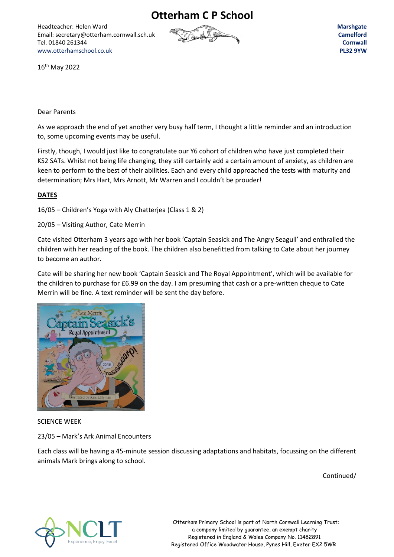**Otterham C P School**

Headteacher: Helen Ward Email: secretary@otterham.cornwall.sch.uk Tel. 01840 261344 [www.otterhamschool.co.uk](http://www.otterhamschool.co.uk/)



**Marshgate Camelford Cornwall PL32 9YW**

16th May 2022

## Dear Parents

As we approach the end of yet another very busy half term, I thought a little reminder and an introduction to, some upcoming events may be useful.

Firstly, though, I would just like to congratulate our Y6 cohort of children who have just completed their KS2 SATs. Whilst not being life changing, they still certainly add a certain amount of anxiety, as children are keen to perform to the best of their abilities. Each and every child approached the tests with maturity and determination; Mrs Hart, Mrs Arnott, Mr Warren and I couldn't be prouder!

## **DATES**

16/05 – Children's Yoga with Aly Chatterjea (Class 1 & 2)

20/05 – Visiting Author, Cate Merrin

Cate visited Otterham 3 years ago with her book 'Captain Seasick and The Angry Seagull' and enthralled the children with her reading of the book. The children also benefitted from talking to Cate about her journey to become an author.

Cate will be sharing her new book 'Captain Seasick and The Royal Appointment', which will be available for the children to purchase for £6.99 on the day. I am presuming that cash or a pre-written cheque to Cate Merrin will be fine. A text reminder will be sent the day before.



SCIENCE WEEK

23/05 – Mark's Ark Animal Encounters

Each class will be having a 45-minute session discussing adaptations and habitats, focussing on the different animals Mark brings along to school.

Continued/



 Otterham Primary School is part of North Cornwall Learning Trust: a company limited by guarantee, an exempt charity Registered in England & Wales Company No. 11482891 Registered Office Woodwater House, Pynes Hill, Exeter EX2 5WR